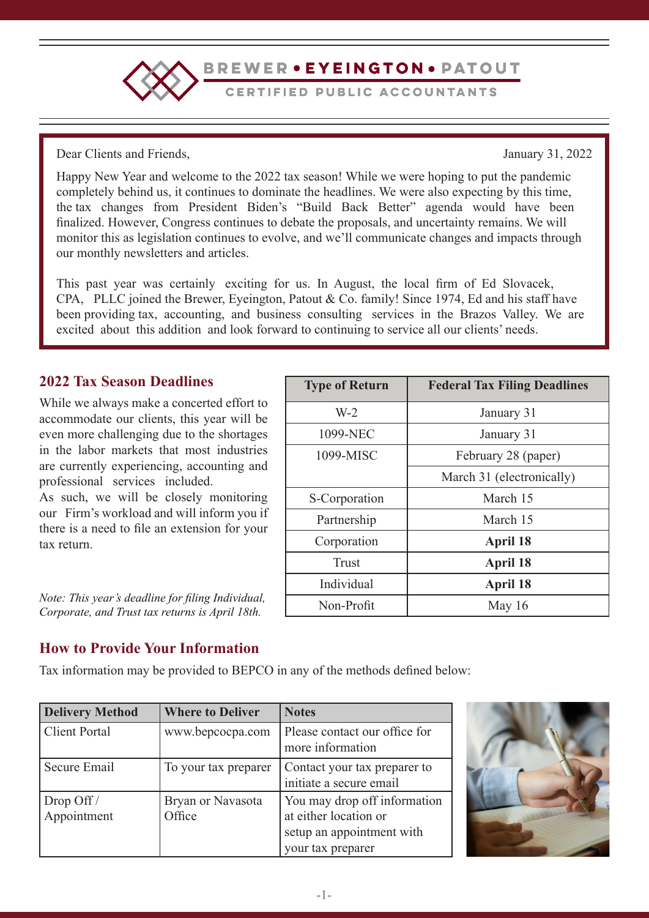

BREWER • EYEINGTON • PATOUT

CERTIFIED PUBLIC ACCOUNTANTS

Dear Clients and Friends, January 31, 2022

Happy New Year and welcome to the 2022 tax season! While we were hoping to put the pandemic completely behind us, it continues to dominate the headlines. We were also expecting by this time, the tax changes from President Biden's "Build Back Better" agenda would have been finalized. However, Congress continues to debate the proposals, and uncertainty remains. We will monitor this as legislation continues to evolve, and we'll communicate changes and impacts through our monthly newsletters and articles.

This past year was certainly exciting for us. In August, the local firm of Ed Slovacek, CPA, PLLC joined the Brewer, Eyeington, Patout & Co. family! Since 1974, Ed and his staff have been providing tax, accounting, and business consulting services in the Brazos Valley. We are excited about this addition and look forward to continuing to service all our clients' needs.

# **2022 Tax Season Deadlines**

While we always make a concerted effort to accommodate our clients, this year will be even more challenging due to the shortages in the labor markets that most industries are currently experiencing, accounting and professional services included.

As such, we will be closely monitoring our Firm's workload and will inform you if there is a need to file an extension for your tax return.

*Note: This year's deadline for filing Individual, Corporate, and Trust tax returns is April 18th.*

| <b>Type of Return</b> | <b>Federal Tax Filing Deadlines</b> |
|-----------------------|-------------------------------------|
| $W-2$                 | January 31                          |
| 1099-NEC              | January 31                          |
| 1099-MISC             | February 28 (paper)                 |
|                       | March 31 (electronically)           |
| S-Corporation         | March 15                            |
| Partnership           | March 15                            |
| Corporation           | April 18                            |
| <b>Trust</b>          | April 18                            |
| Individual            | <b>April 18</b>                     |
| Non-Profit            | May $16$                            |

# **How to Provide Your Information**

Tax information may be provided to BEPCO in any of the methods defined below:

| <b>Delivery Method</b>      | <b>Where to Deliver</b>     | <b>Notes</b>                                                                                            |
|-----------------------------|-----------------------------|---------------------------------------------------------------------------------------------------------|
| <b>Client Portal</b>        | www.bepcocpa.com            | Please contact our office for<br>more information                                                       |
| Secure Email                | To your tax preparer        | Contact your tax preparer to<br>initiate a secure email                                                 |
| Drop Off $/$<br>Appointment | Bryan or Navasota<br>Office | You may drop off information<br>at either location or<br>setup an appointment with<br>your tax preparer |

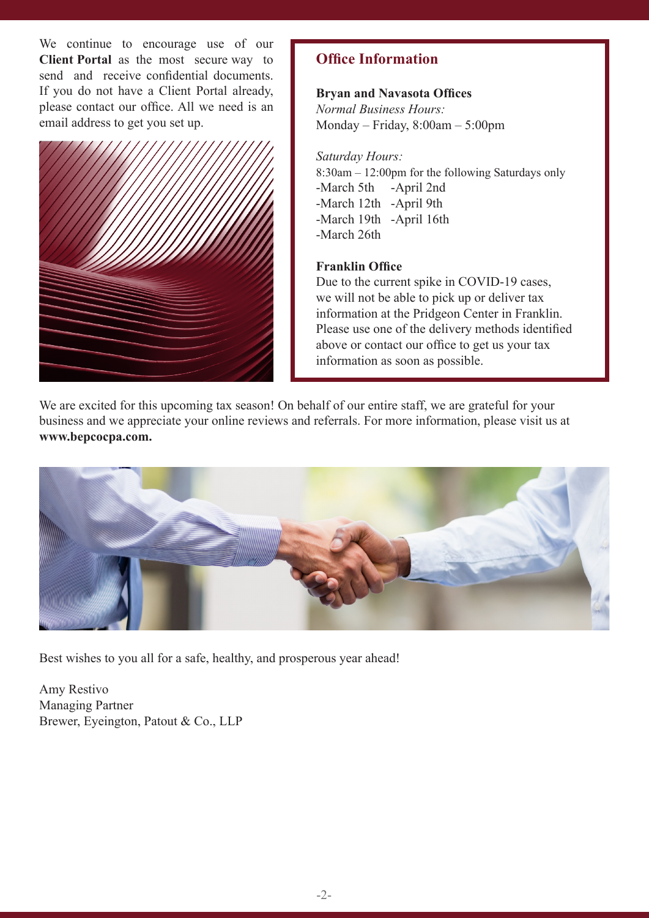We continue to encourage use of our **Client Portal** as the most secure way to send and receive confidential documents. If you do not have a Client Portal already, please contact our office. All we need is an email address to get you set up.



# **Office Information**

# **Bryan and Navasota Offices**

*Normal Business Hours:* Monday – Friday, 8:00am – 5:00pm

## *Saturday Hours:*

8:30am – 12:00pm for the following Saturdays only -March 5th -April 2nd -March 12th -April 9th -March 19th -April 16th -March 26th

# **Franklin Office**

Due to the current spike in COVID-19 cases, we will not be able to pick up or deliver tax information at the Pridgeon Center in Franklin. Please use one of the delivery methods identified above or contact our office to get us your tax information as soon as possible.

We are excited for this upcoming tax season! On behalf of our entire staff, we are grateful for your business and we appreciate your online reviews and referrals. For more information, please visit us at **www.bepcocpa.com.**



Best wishes to you all for a safe, healthy, and prosperous year ahead!

Amy Restivo Managing Partner Brewer, Eyeington, Patout & Co., LLP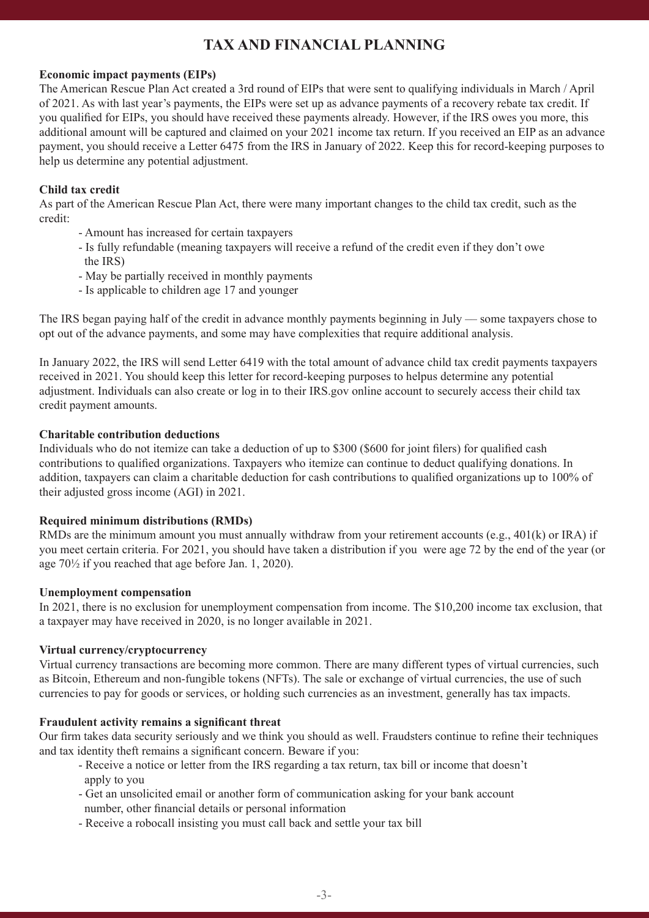# **TAX AND FINANCIAL PLANNING**

### **Economic impact payments (EIPs)**

The American Rescue Plan Act created a 3rd round of EIPs that were sent to qualifying individuals in March / April of 2021. As with last year's payments, the EIPs were set up as advance payments of a recovery rebate tax credit. If you qualified for EIPs, you should have received these payments already. However, if the IRS owes you more, this additional amount will be captured and claimed on your 2021 income tax return. If you received an EIP as an advance payment, you should receive a Letter 6475 from the IRS in January of 2022. Keep this for record-keeping purposes to help us determine any potential adjustment.

# **Child tax credit**

As part of the American Rescue Plan Act, there were many important changes to the child tax credit, such as the credit:

- Amount has increased for certain taxpayers
- Is fully refundable (meaning taxpayers will receive a refund of the credit even if they don't owe the IRS)
- May be partially received in monthly payments
- Is applicable to children age 17 and younger

The IRS began paying half of the credit in advance monthly payments beginning in July –– some taxpayers chose to opt out of the advance payments, and some may have complexities that require additional analysis.

In January 2022, the IRS will send Letter 6419 with the total amount of advance child tax credit payments taxpayers received in 2021. You should keep this letter for record-keeping purposes to helpus determine any potential adjustment. Individuals can also create or log in to their IRS.gov online account to securely access their child tax credit payment amounts.

#### **Charitable contribution deductions**

Individuals who do not itemize can take a deduction of up to \$300 (\$600 for joint filers) for qualified cash contributions to qualified organizations. Taxpayers who itemize can continue to deduct qualifying donations. In addition, taxpayers can claim a charitable deduction for cash contributions to qualified organizations up to 100% of their adjusted gross income (AGI) in 2021.

#### **Required minimum distributions (RMDs)**

RMDs are the minimum amount you must annually withdraw from your retirement accounts (e.g., 401(k) or IRA) if you meet certain criteria. For 2021, you should have taken a distribution if you were age 72 by the end of the year (or age 70½ if you reached that age before Jan. 1, 2020).

### **Unemployment compensation**

In 2021, there is no exclusion for unemployment compensation from income. The \$10,200 income tax exclusion, that a taxpayer may have received in 2020, is no longer available in 2021.

## **Virtual currency/cryptocurrency**

Virtual currency transactions are becoming more common. There are many different types of virtual currencies, such as Bitcoin, Ethereum and non-fungible tokens (NFTs). The sale or exchange of virtual currencies, the use of such currencies to pay for goods or services, or holding such currencies as an investment, generally has tax impacts.

### **Fraudulent activity remains a significant threat**

Our firm takes data security seriously and we think you should as well. Fraudsters continue to refine their techniques and tax identity theft remains a significant concern. Beware if you:

- Receive a notice or letter from the IRS regarding a tax return, tax bill or income that doesn't apply to you
- Get an unsolicited email or another form of communication asking for your bank account number, other financial details or personal information
- Receive a robocall insisting you must call back and settle your tax bill